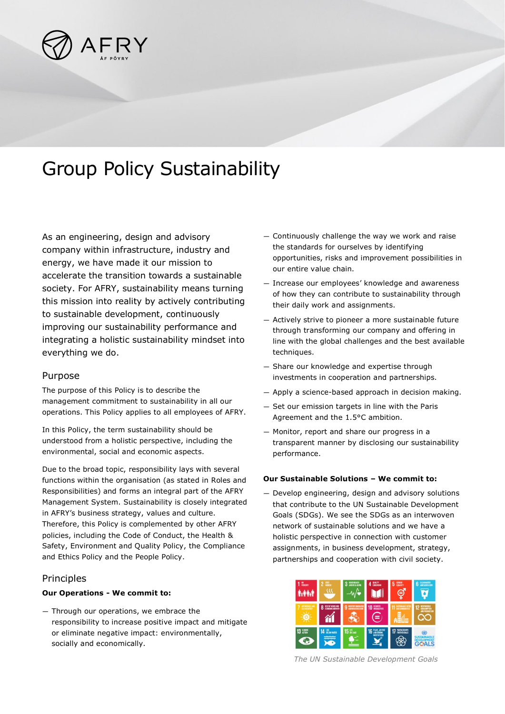

# Group Policy Sustainability

As an engineering, design and advisory company within infrastructure, industry and energy, we have made it our mission to accelerate the transition towards a sustainable society. For AFRY, sustainability means turning this mission into reality by actively contributing to sustainable development, continuously improving our sustainability performance and integrating a holistic sustainability mindset into everything we do.

## Purpose

The purpose of this Policy is to describe the management commitment to sustainability in all our operations. This Policy applies to all employees of AFRY.

In this Policy, the term sustainability should be understood from a holistic perspective, including the environmental, social and economic aspects.

Due to the broad topic, responsibility lays with several functions within the organisation (as stated in Roles and Responsibilities) and forms an integral part of the AFRY Management System. Sustainability is closely integrated in AFRY's business strategy, values and culture. Therefore, this Policy is complemented by other AFRY policies, including the Code of Conduct, the Health & Safety, Environment and Quality Policy, the Compliance and Ethics Policy and the People Policy.

## **Principles**

#### **Our Operations - We commit to:**

— Through our operations, we embrace the responsibility to increase positive impact and mitigate or eliminate negative impact: environmentally, socially and economically.

- Continuously challenge the way we work and raise the standards for ourselves by identifying opportunities, risks and improvement possibilities in our entire value chain.
- Increase our employees' knowledge and awareness of how they can contribute to sustainability through their daily work and assignments.
- Actively strive to pioneer a more sustainable future through transforming our company and offering in line with the global challenges and the best available techniques.
- Share our knowledge and expertise through investments in cooperation and partnerships.
- Apply a science-based approach in decision making.
- Set our emission targets in line with the Paris Agreement and the 1.5°C ambition.
- Monitor, report and share our progress in a transparent manner by disclosing our sustainability performance.

#### **Our Sustainable Solutions – We commit to:**

— Develop engineering, design and advisory solutions that contribute to the UN Sustainable Development Goals (SDGs). We see the SDGs as an interwoven network of sustainable solutions and we have a holistic perspective in connection with customer assignments, in business development, strategy, partnerships and cooperation with civil society.



*The UN Sustainable Development Goals*